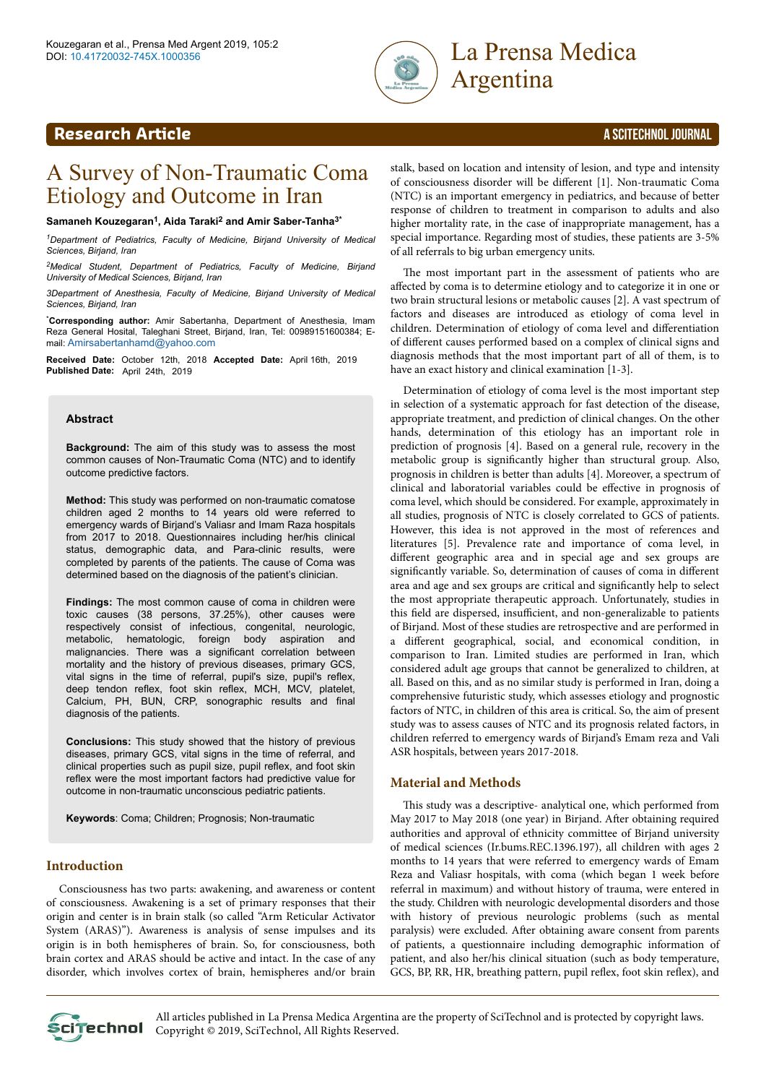

# Argentina

### **Research Article** A SCITECHNOL JOURNAL

## A Survey of Non-Traumatic Coma Etiology and Outcome in Iran

#### **Samaneh Kouzegaran<sup>1</sup> , Aida Taraki<sup>2</sup> and Amir Saber-Tanha3\***

*<sup>1</sup>Department of Pediatrics, Faculty of Medicine, Birjand University of Medical Sciences, Birjand, Iran*

*<sup>2</sup>Medical Student, Department of Pediatrics, Faculty of Medicine, Birjand University of Medical Sciences, Birjand, Iran*

*3Department of Anesthesia, Faculty of Medicine, Birjand University of Medical Sciences, Birjand, Iran*

\***Corresponding author:** Amir Sabertanha, Department of Anesthesia, Imam Reza General Hosital, Taleghani Street, Birjand, Iran, Tel: 00989151600384; Email: [Amirsabertanhamd@yahoo.com](mailto:Amirsabertanhamd@yahoo.com)

**Received Date:** October 12th, 2018 **Accepted Date:** April 16th, 2019 **Published Date:** April 24th, 2019

#### **Abstract**

**Background:** The aim of this study was to assess the most common causes of Non-Traumatic Coma (NTC) and to identify outcome predictive factors.

**Method:** This study was performed on non-traumatic comatose children aged 2 months to 14 years old were referred to emergency wards of Birjand's Valiasr and Imam Raza hospitals from 2017 to 2018. Questionnaires including her/his clinical status, demographic data, and Para-clinic results, were completed by parents of the patients. The cause of Coma was determined based on the diagnosis of the patient's clinician.

**Findings:** The most common cause of coma in children were toxic causes (38 persons, 37.25%), other causes were respectively consist of infectious, congenital, neurologic, metabolic, hematologic, foreign body aspiration and malignancies. There was a significant correlation between mortality and the history of previous diseases, primary GCS, vital signs in the time of referral, pupil's size, pupil's reflex, deep tendon reflex, foot skin reflex, MCH, MCV, platelet, Calcium, PH, BUN, CRP, sonographic results and final diagnosis of the patients.

**Conclusions:** This study showed that the history of previous diseases, primary GCS, vital signs in the time of referral, and clinical properties such as pupil size, pupil reflex, and foot skin reflex were the most important factors had predictive value for outcome in non-traumatic unconscious pediatric patients.

**Keywords**: Coma; Children; Prognosis; Non-traumatic

#### **Introduction**

Consciousness has two parts: awakening, and awareness or content of consciousness. Awakening is a set of primary responses that their origin and center is in brain stalk (so called "Arm Reticular Activator System (ARAS)"). Awareness is analysis of sense impulses and its origin is in both hemispheres of brain. So, for consciousness, both brain cortex and ARAS should be active and intact. In the case of any disorder, which involves cortex of brain, hemispheres and/or brain

stalk, based on location and intensity of lesion, and type and intensity of consciousness disorder will be different [1]. Non-traumatic Coma (NTC) is an important emergency in pediatrics, and because of better response of children to treatment in comparison to adults and also higher mortality rate, in the case of inappropriate management, has a special importance. Regarding most of studies, these patients are 3-5% of all referrals to big urban emergency units.

The most important part in the assessment of patients who are affected by coma is to determine etiology and to categorize it in one or two brain structural lesions or metabolic causes [2]. A vast spectrum of factors and diseases are introduced as etiology of coma level in children. Determination of etiology of coma level and differentiation of different causes performed based on a complex of clinical signs and diagnosis methods that the most important part of all of them, is to have an exact history and clinical examination [1-3].

Determination of etiology of coma level is the most important step in selection of a systematic approach for fast detection of the disease, appropriate treatment, and prediction of clinical changes. On the other hands, determination of this etiology has an important role in prediction of prognosis [4]. Based on a general rule, recovery in the metabolic group is significantly higher than structural group. Also, prognosis in children is better than adults [4]. Moreover, a spectrum of clinical and laboratorial variables could be effective in prognosis of coma level, which should be considered. For example, approximately in all studies, prognosis of NTC is closely correlated to GCS of patients. However, this idea is not approved in the most of references and literatures [5]. Prevalence rate and importance of coma level, in different geographic area and in special age and sex groups are significantly variable. So, determination of causes of coma in different area and age and sex groups are critical and significantly help to select the most appropriate therapeutic approach. Unfortunately, studies in this field are dispersed, insufficient, and non-generalizable to patients of Birjand. Most of these studies are retrospective and are performed in a different geographical, social, and economical condition, in comparison to Iran. Limited studies are performed in Iran, which considered adult age groups that cannot be generalized to children, at all. Based on this, and as no similar study is performed in Iran, doing a comprehensive futuristic study, which assesses etiology and prognostic factors of NTC, in children of this area is critical. So, the aim of present study was to assess causes of NTC and its prognosis related factors, in children referred to emergency wards of Birjand's Emam reza and Vali ASR hospitals, between years 2017-2018.

#### **Material and Methods**

This study was a descriptive- analytical one, which performed from May 2017 to May 2018 (one year) in Birjand. After obtaining required authorities and approval of ethnicity committee of Birjand university of medical sciences (Ir.bums.REC.1396.197), all children with ages 2 months to 14 years that were referred to emergency wards of Emam Reza and Valiasr hospitals, with coma (which began 1 week before referral in maximum) and without history of trauma, were entered in the study. Children with neurologic developmental disorders and those with history of previous neurologic problems (such as mental paralysis) were excluded. After obtaining aware consent from parents of patients, a questionnaire including demographic information of patient, and also her/his clinical situation (such as body temperature, GCS, BP, RR, HR, breathing pattern, pupil reflex, foot skin reflex), and

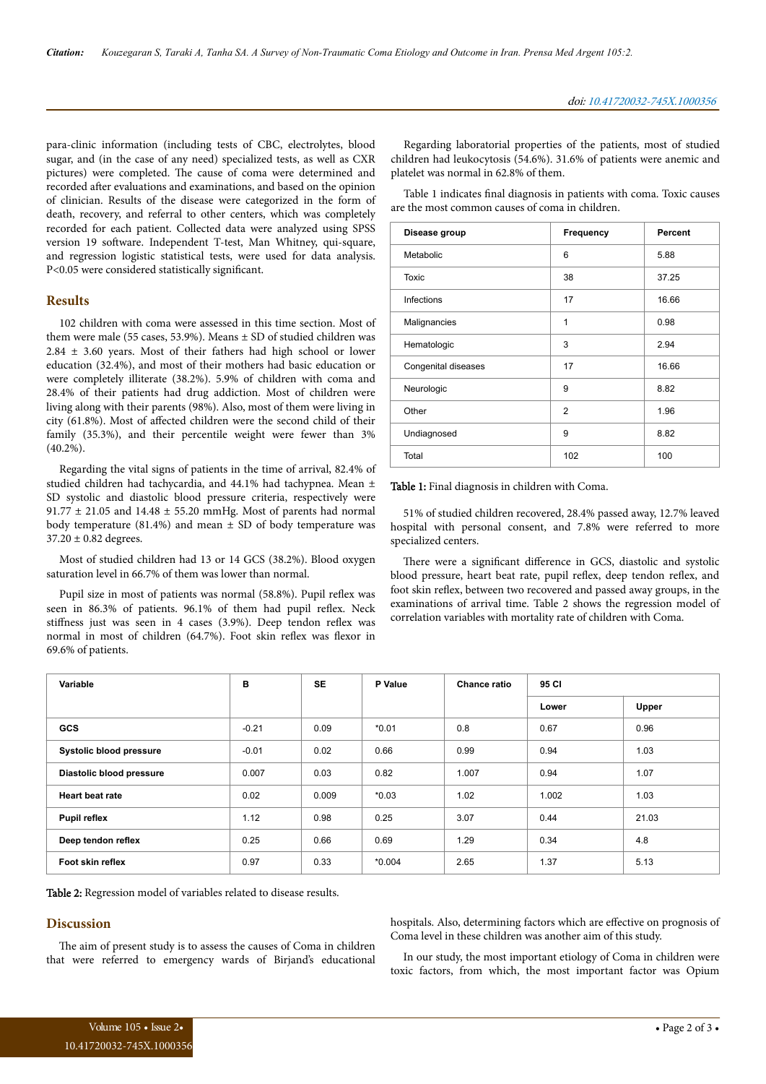para-clinic information (including tests of CBC, electrolytes, blood sugar, and (in the case of any need) specialized tests, as well as CXR pictures) were completed. Нe cause of coma were determined and recorded after evaluations and examinations, and based on the opinion of clinician. Results of the disease were categorized in the form of death, recovery, and referral to other centers, which was completely recorded for each patient. Collected data were analyzed using SPSS version 19 software. Independent T-test, Man Whitney, qui-square, and regression logistic statistical tests, were used for data analysis. P<0.05 were considered statistically significant.

#### **Results**

102 children with coma were assessed in this time section. Most of them were male (55 cases, 53.9%). Means ± SD of studied children was 2.84 ± 3.60 years. Most of their fathers had high school or lower education (32.4%), and most of their mothers had basic education or were completely illiterate (38.2%). 5.9% of children with coma and 28.4% of their patients had drug addiction. Most of children were living along with their parents (98%). Also, most of them were living in city (61.8%). Most of affected children were the second child of their family (35.3%), and their percentile weight were fewer than 3%  $(40.2\%)$ .

Regarding the vital signs of patients in the time of arrival, 82.4% of studied children had tachycardia, and 44.1% had tachypnea. Mean ± SD systolic and diastolic blood pressure criteria, respectively were 91.77 ± 21.05 and 14.48 ± 55.20 mmHg. Most of parents had normal body temperature (81.4%) and mean  $\pm$  SD of body temperature was  $37.20 \pm 0.82$  degrees.

Most of studied children had 13 or 14 GCS (38.2%). Blood oxygen saturation level in 66.7% of them was lower than normal.

Pupil size in most of patients was normal (58.8%). Pupil reflex was seen in 86.3% of patients. 96.1% of them had pupil reflex. Neck stiffness just was seen in 4 cases (3.9%). Deep tendon reflex was normal in most of children (64.7%). Foot skin reflex was flexor in 69.6% of patients.

Regarding laboratorial properties of the patients, most of studied children had leukocytosis (54.6%). 31.6% of patients were anemic and platelet was normal in 62.8% of them.

Table 1 indicates final diagnosis in patients with coma. Toxic causes are the most common causes of coma in children.

| Disease group       | Frequency      | <b>Percent</b> |  |
|---------------------|----------------|----------------|--|
| Metabolic           | 6              | 5.88           |  |
| <b>Toxic</b>        | 38             | 37.25          |  |
| Infections          | 17             | 16.66          |  |
| Malignancies        | 1              | 0.98           |  |
| Hematologic         | 3              | 2.94           |  |
| Congenital diseases | 17             | 16.66          |  |
| Neurologic          | 9              | 8.82           |  |
| Other               | $\overline{2}$ | 1.96           |  |
| Undiagnosed         | 9              | 8.82           |  |
| Total               | 102            | 100            |  |

Table 1: Final diagnosis in children with Coma.

51% of studied children recovered, 28.4% passed away, 12.7% leaved hospital with personal consent, and 7.8% were referred to more specialized centers.

There were a significant difference in GCS, diastolic and systolic blood pressure, heart beat rate, pupil reflex, deep tendon reflex, and foot skin reflex, between two recovered and passed away groups, in the examinations of arrival time. Table 2 shows the regression model of correlation variables with mortality rate of children with Coma.

| Variable                       | в       | <b>SE</b> | P Value  | <b>Chance ratio</b> | 95 CI |       |
|--------------------------------|---------|-----------|----------|---------------------|-------|-------|
|                                |         |           |          |                     | Lower | Upper |
| <b>GCS</b>                     | $-0.21$ | 0.09      | $*0.01$  | 0.8                 | 0.67  | 0.96  |
| <b>Systolic blood pressure</b> | $-0.01$ | 0.02      | 0.66     | 0.99                | 0.94  | 1.03  |
| Diastolic blood pressure       | 0.007   | 0.03      | 0.82     | 1.007               | 0.94  | 1.07  |
| <b>Heart beat rate</b>         | 0.02    | 0.009     | $*0.03$  | 1.02                | 1.002 | 1.03  |
| <b>Pupil reflex</b>            | 1.12    | 0.98      | 0.25     | 3.07                | 0.44  | 21.03 |
| Deep tendon reflex             | 0.25    | 0.66      | 0.69     | 1.29                | 0.34  | 4.8   |
| Foot skin reflex               | 0.97    | 0.33      | $*0.004$ | 2.65                | 1.37  | 5.13  |

Table 2: Regression model of variables related to disease results.

#### **Discussion**

The aim of present study is to assess the causes of Coma in children that were referred to emergency wards of Birjand's educational

hospitals. Also, determining factors which are effective on prognosis of Coma level in these children was another aim of this study.

In our study, the most important etiology of Coma in children were toxic factors, from which, the most important factor was Opium